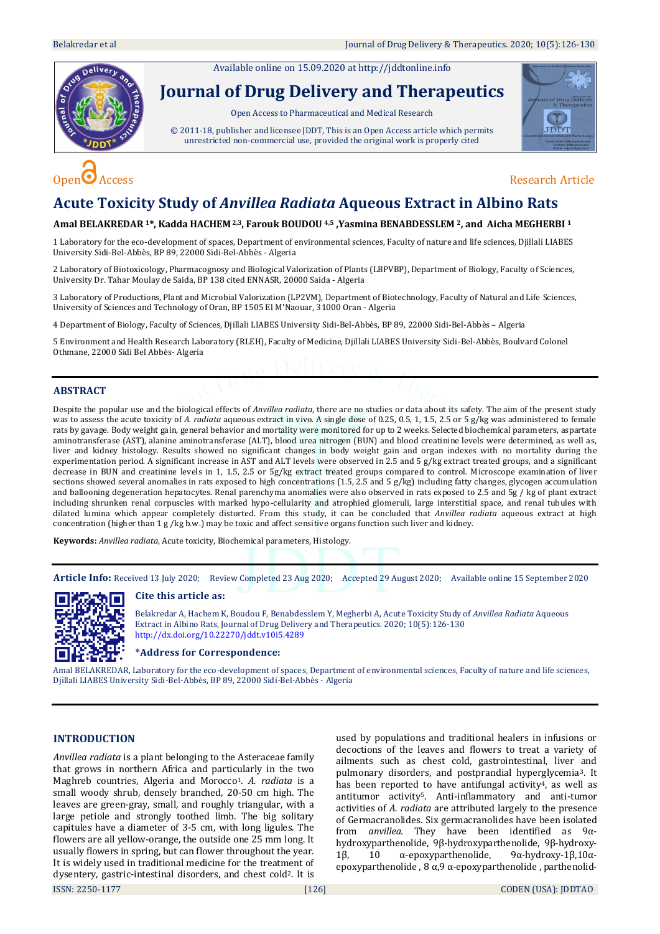Available online on 15.09.2020 a[t http://jddtonline.info](http://jddtonline.info/)





# **Acute Toxicity Study of** *Anvillea Radiata* **Aqueous Extract in Albino Rats**

# **Amal BELAKREDAR 1\*, Kadda HACHEM2,3, Farouk BOUDOU 4,5 ,Yasmina BENABDESSLEM 2, and Aicha MEGHERBI <sup>1</sup>**

1 Laboratory for the eco-development of spaces, Department of environmental sciences, Faculty of nature and life sciences, Djillali LIABES University Sidi-Bel-Abbès, BP 89, 22000 Sidi-Bel-Abbès - Algeria

2 Laboratory of Biotoxicology, Pharmacognosy and Biological Valorization of Plants (LBPVBP), Department of Biology, Faculty of Sciences, University Dr. Tahar Moulay de Saida, BP 138 cited ENNASR, 20000 Saida - Algeria

3 Laboratory of Productions, Plant and Microbial Valorization (LP2VM), Department of Biotechnology, Faculty of Natural and Life Sciences, University of Sciences and Technology of Oran, BP 1505 El M'Naouar, 31000 Oran - Algeria

4 Department of Biology, Faculty of Sciences, Djillali LIABES University Sidi-Bel-Abbès, BP 89, 22000 Sidi-Bel-Abbès – Algeria

5 Environment and Health Research Laboratory (RLEH), Faculty of Medicine, Djillali LIABES University Sidi-Bel-Abbès, Boulvard Colonel Othmane, 22000 Sidi Bel Abbès- Algeria

# **ABSTRACT**

Despite the popular use and the biological effects of *Anvillea radiata*, there are no studies or data about its safety. The aim of the present study was to assess the acute toxicity of *A. radiata* aqueous extract in vivo. A single dose of 0.25, 0.5, 1, 1.5, 2.5 or 5 g/kg was administered to female rats by gavage. Body weight gain, general behavior and mortality were monitored for up to 2 weeks. Selected biochemical parameters, aspartate aminotransferase (AST), alanine aminotransferase (ALT), blood urea nitrogen (BUN) and blood creatinine levels were determined, as well as, liver and kidney histology. Results showed no significant changes in body weight gain and organ indexes with no mortality during the experimentation period. A significant increase in AST and ALT levels were observed in 2.5 and 5 g/kg extract treated groups, and a significant decrease in BUN and creatinine levels in 1, 1.5, 2.5 or 5g/kg extract treated groups compared to control. Microscope examination of liver sections showed several anomalies in rats exposed to high concentrations (1.5, 2.5 and 5  $g/kg$ ) including fatty changes, glycogen accumulation and ballooning degeneration hepatocytes. Renal parenchyma anomalies were also observed in rats exposed to 2.5 and 5g / kg of plant extract including shrunken renal corpuscles with marked hypo-cellularity and atrophied glomeruli, large interstitial space, and renal tubules with dilated lumina which appear completely distorted. From this study, it can be concluded that *Anvillea radiata* aqueous extract at high concentration (higher than 1 g /kg b.w.) may be toxic and affect sensitive organs function such liver and kidney.

**Keywords:** *Anvillea radiata*, Acute toxicity, Biochemical parameters, Histology.

**Article Info:** Received 13 July 2020; Review Completed 23 Aug 2020; Accepted 29 August 2020; Available online 15 September 2020



# **Cite this article as:**

Belakredar A, Hachem K, Boudou F, Benabdesslem Y, Megherbi A, Acute Toxicity Study of *Anvillea Radiata* Aqueous Extract in Albino Rats, Journal of Drug Delivery and Therapeutics. 2020; 10(5):126-130 <http://dx.doi.org/10.22270/jddt.v10i5.4289>

**\*Address for Correspondence:** 

Amal BELAKREDAR, Laboratory for the eco-development of spaces, Department of environmental sciences, Faculty of nature and life sciences, Djillali LIABES University Sidi-Bel-Abbès, BP 89, 22000 Sidi-Bel-Abbès - Algeria

# **INTRODUCTION**

*Anvillea radiata* is a plant belonging to the Asteraceae family that grows in northern Africa and particularly in the two Maghreb countries, Algeria and Morocco1[.](#page-4-0) *A. radiata* is a small woody shrub, densely branched, 20-50 cm high. The leaves are green-gray, small, and roughly triangular, with a large petiole and strongly toothed limb. The big solitary capitules have a diameter of 3-5 cm, with long ligules. The flowers are all yellow-orange, the outside one 25 mm long. It usually flowers in spring, but can flower throughout the year. It is widely used in traditional medicine for the treatment of dysentery, gastric-intestinal disorders, and chest col[d](#page-4-1)2. It is used by populations and traditional healers in infusions or decoctions of the leaves and flowers to treat a variety of ailments such as chest cold, gastrointestinal, liver and pulmonary disorders, and postprandial hyperglycemia[3](#page-4-2). It has been reported to have antifungal activit[y](#page-4-3)<sup>4</sup>, as well as antitumor activit[y](#page-4-4)5. Anti-inflammatory and anti-tumor activities of *A. radiata* are attributed largely to the presence of Germacranolides. Six germacranolides have been isolated from *anvillea.* They have been identified as 9αhydroxyparthenolide, 9β-hydroxyparthenolide, 9β-hydroxy-1β, 10 α-epoxyparthenolide, 9α-hydroxy-1β,10αepoxyparthenolide , 8 α,9 α-epoxyparthenolide , parthenolid-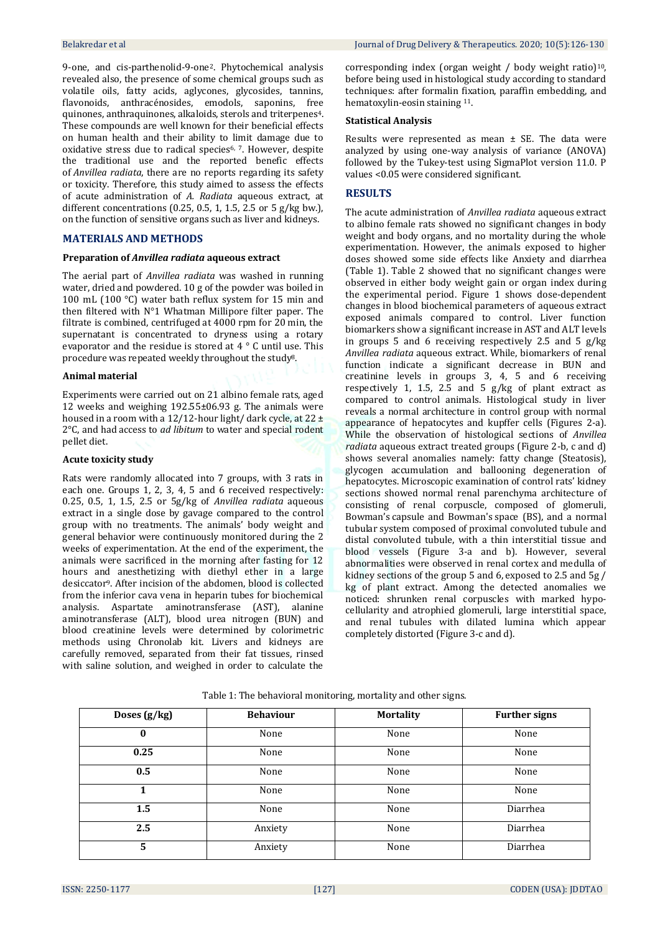9-one, and cis-parthenolid-9-one2[.](#page-4-1) Phytochemical analysis revealed also, the presence of some chemical groups such as volatile oils, fatty acids, aglycones, glycosides, tannins, flavonoids, anthracénosides, emodols, saponins, free quinones, anthraquinones, alkaloids, sterols and triterpenes[4](#page-4-3). These compounds are well known for their beneficial effects on human health and their ability to limit damage due to oxidative stress due to radical species[6,](#page-4-5) [7](#page-4-6). However, despite the traditional use and the reported benefic effects of *Anvillea radiata*, there are no reports regarding its safety or toxicity. Therefore, this study aimed to assess the effects of acute administration of *A. Radiata* aqueous extract, at different concentrations (0.25, 0.5, 1, 1.5, 2.5 or 5 g/kg bw.), on the function of sensitive organs such as liver and kidneys.

### **MATERIALS AND METHODS**

#### **Preparation of** *Anvillea radiata* **aqueous extract**

The aerial part of *Anvillea radiata* was washed in running water, dried and powdered. 10 g of the powder was boiled in 100 mL (100 °C) water bath reflux system for 15 min and then filtered with N°1 Whatman Millipore filter paper. The filtrate is combined, centrifuged at 4000 rpm for 20 min, the supernatant is concentrated to dryness using a rotary evaporator and the residue is stored at 4 ° C until use. This procedure was repeated weekly throughout the stud[y](#page-4-7)8.

#### **Animal material**

Experiments were carried out on 21 albino female rats, aged 12 weeks and weighing 192.55±06.93 g. The animals were housed in a room with a 12/12-hour light/ dark cycle, at  $22 \pm$ 2°C, and had access to *ad libitum* to water and special rodent pellet diet.

#### **Acute toxicity study**

Rats were randomly allocated into 7 groups, with 3 rats in each one. Groups 1, 2, 3, 4, 5 and 6 received respectively: 0.25, 0.5, 1, 1.5, 2.5 or 5g/kg of *Anvillea radiata* aqueous extract in a single dose by gavage compared to the control group with no treatments. The animals' body weight and general behavior were continuously monitored during the 2 weeks of experimentation. At the end of the experiment, the animals were sacrificed in the morning after fasting for 12 hours and anesthetizing with diethyl ether in a large desiccato[r](#page-4-8)9. After incision of the abdomen, blood is collected from the inferior cava vena in heparin tubes for biochemical analysis. Aspartate aminotransferase (AST), alanine aminotransferase (ALT), blood urea nitrogen (BUN) and blood creatinine levels were determined by colorimetric methods using Chronolab kit. Livers and kidneys are carefully removed, separated from their fat tissues, rinsed with saline solution, and weighed in order to calculate the

corresponding index (organ weight / body weight ratio)<sup>[10](#page-4-9)</sup>, before being used in histological study according to standard techniques: after formalin fixation, paraffin embedding, and hematoxylin-eosin staining [11](#page-4-10).

#### **Statistical Analysis**

Results were represented as mean  $\pm$  SE. The data were analyzed by using one-way analysis of variance (ANOVA) followed by the Tukey-test using SigmaPlot version 11.0. P values <0.05 were considered significant.

# **RESULTS**

The acute administration of *Anvillea radiata* aqueous extract to albino female rats showed no significant changes in body weight and body organs, and no mortality during the whole experimentation. However, the animals exposed to higher doses showed some side effects like Anxiety and diarrhea (Table 1). Table 2 showed that no significant changes were observed in either body weight gain or organ index during the experimental period. Figure 1 shows dose-dependent changes in blood biochemical parameters of aqueous extract exposed animals compared to control. Liver function biomarkers show a significant increase in AST and ALT levels in groups 5 and 6 receiving respectively 2.5 and 5 g/kg *Anvillea radiata* aqueous extract. While, biomarkers of renal function indicate a significant decrease in BUN and creatinine levels in groups 3, 4, 5 and 6 receiving respectively 1, 1.5, 2.5 and 5  $g/kg$  of plant extract as compared to control animals. Histological study in liver reveals a normal architecture in control group with normal appearance of hepatocytes and kupffer cells (Figures 2-a). While the observation of histological sections of *Anvillea radiata* aqueous extract treated groups (Figure 2-b, c and d) shows several anomalies namely: fatty change (Steatosis), glycogen accumulation and ballooning degeneration of hepatocytes. Microscopic examination of control rats' kidney sections showed normal renal parenchyma architecture of consisting of renal corpuscle, composed of glomeruli, Bowman's capsule and Bowman's space (BS), and a normal tubular system composed of proximal convoluted tubule and distal convoluted tubule, with a thin interstitial tissue and blood vessels (Figure 3-a and b). However, several abnormalities were observed in renal cortex and medulla of kidney sections of the group 5 and 6, exposed to 2.5 and 5g / kg of plant extract. Among the detected anomalies we noticed: shrunken renal corpuscles with marked hypocellularity and atrophied glomeruli, large interstitial space, and renal tubules with dilated lumina which appear completely distorted (Figure 3-c and d).

| Doses $(g/kg)$ | <b>Behaviour</b> | <b>Mortality</b> | <b>Further signs</b> |  |
|----------------|------------------|------------------|----------------------|--|
| 0              | None             | None<br>None     |                      |  |
| 0.25           | None             | None             | None                 |  |
| 0.5            | None             | None             | None                 |  |
|                | None             | None             | None                 |  |
| 1.5            | None             | None             | Diarrhea             |  |
| 2.5            | Anxiety          | Diarrhea<br>None |                      |  |
| 5              | Anxiety          | None<br>Diarrhea |                      |  |

Table 1: The behavioral monitoring, mortality and other signs.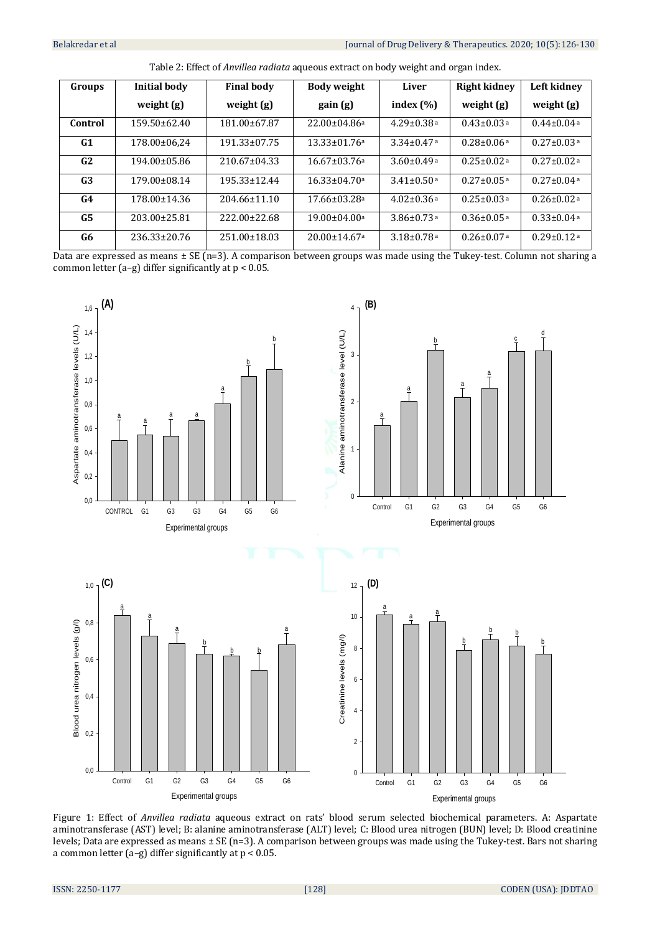| Groups         | Initial body      | <b>Final body</b>  | Body weight                    | Liver                        | Right kidney                 | Left kidnev                  |
|----------------|-------------------|--------------------|--------------------------------|------------------------------|------------------------------|------------------------------|
|                | weight $(g)$      | weight $(g)$       | gain (g)                       | index $(\% )$                | weight $(g)$                 | weight $(g)$                 |
| Control        | $159.50\pm 62.40$ | 181.00±67.87       | $22.00 \pm 04.86$ a            | $4.29 \pm 0.38$ a            | $0.43 \pm 0.03$ <sup>a</sup> | $0.44 \pm 0.04$ <sup>a</sup> |
| G1             | 178.00±06.24      | $191.33 \pm 07.75$ | $13.33 \pm 01.76$ a            | $3.34\pm0.47$ <sup>a</sup>   | $0.28 \pm 0.06$ <sup>a</sup> | $0.27 \pm 0.03$ <sup>a</sup> |
| G2             | 194.00±05.86      | $210.67 \pm 04.33$ | $16.67 \pm 0.376$ a            | $3.60 \pm 0.49$ <sup>a</sup> | $0.25 \pm 0.02$ <sup>a</sup> | $0.27 \pm 0.02$ <sup>a</sup> |
| G <sub>3</sub> | 179.00±08.14      | 195.33+12.44       | $16.33 + 04.70a$               | $3.41 + 0.50$ a              | $0.27 + 0.05$ a              | $0.27 \pm 0.04$ <sup>a</sup> |
| G4             | 178.00±14.36      | $204.66 \pm 11.10$ | $17.66 \pm 0.328$ a            | $4.02 \pm 0.36$ <sup>a</sup> | $0.25 \pm 0.03$ <sup>a</sup> | $0.26 \pm 0.02$ <sup>a</sup> |
| G5             | 203.00±25.81      | 222.00±22.68       | $19.00 \pm 04.00$ a            | $3.86 \pm 0.73$ <sup>a</sup> | $0.36 \pm 0.05$ <sup>a</sup> | $0.33 \pm 0.04$ <sup>a</sup> |
| G6             | 236.33±20.76      | $251.00 \pm 18.03$ | $20.00 \pm 14.67$ <sup>a</sup> | $3.18 \pm 0.78$ <sup>a</sup> | $0.26 \pm 0.07$ <sup>a</sup> | $0.29 \pm 0.12$ <sup>a</sup> |

Table 2: Effect of *Anvillea radiata* aqueous extract on body weight and organ index.

Data are expressed as means ± SE (n=3). A comparison between groups was made using the Tukey-test. Column not sharing a common letter (a-g) differ significantly at  $p < 0.05$ .



Figure 1: Effect of *Anvillea radiata* aqueous extract on rats' blood serum selected biochemical parameters. A: Aspartate aminotransferase (AST) level; B: alanine aminotransferase (ALT) level; C: Blood urea nitrogen (BUN) level; D: Blood creatinine levels; Data are expressed as means ± SE (n=3). A comparison between groups was made using the Tukey-test. Bars not sharing a common letter (a–g) differ significantly at p < 0.05.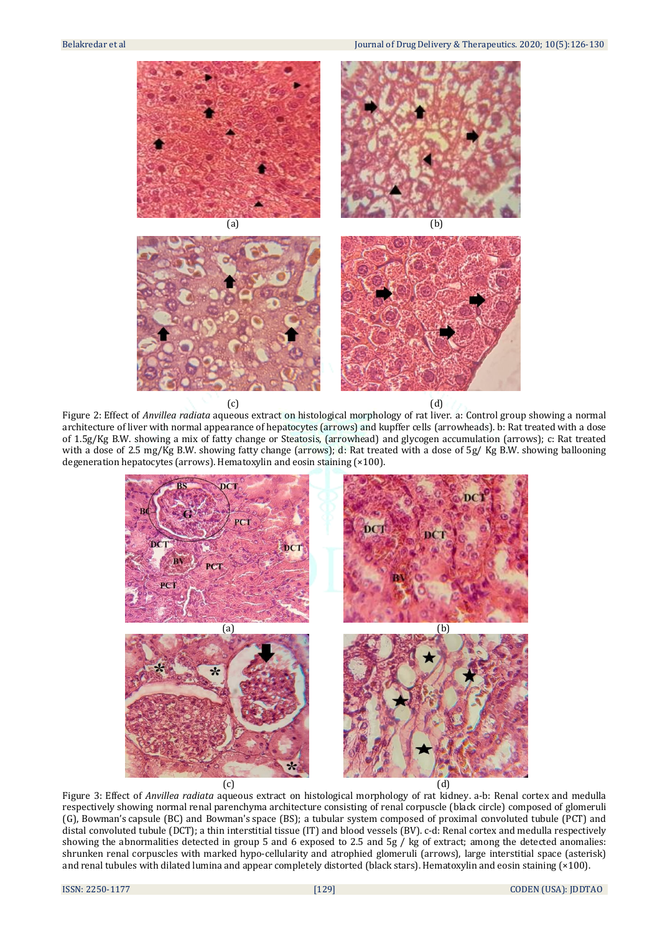

Figure 2: Effect of *Anvillea radiata* aqueous extract on histological morphology of rat liver. a: Control group showing a normal architecture of liver with normal appearance of hepatocytes (arrows) and kupffer cells (arrowheads). b: Rat treated with a dose of 1.5g/Kg B.W. showing a mix of fatty change or Steatosis, (arrowhead) and glycogen accumulation (arrows); c: Rat treated with a dose of 2.5 mg/Kg B.W. showing fatty change (arrows); d: Rat treated with a dose of 5g/ Kg B.W. showing ballooning degeneration hepatocytes (arrows). Hematoxylin and eosin staining (×100).



Figure 3: Effect of *Anvillea radiata* aqueous extract on histological morphology of rat kidney. a-b: Renal cortex and medulla respectively showing normal renal parenchyma architecture consisting of renal corpuscle (black circle) composed of glomeruli (G), Bowman's capsule (BC) and Bowman's space (BS); a tubular system composed of proximal convoluted tubule (PCT) and distal convoluted tubule (DCT); a thin interstitial tissue (IT) and blood vessels (BV). c-d: Renal cortex and medulla respectively showing the abnormalities detected in group 5 and 6 exposed to 2.5 and 5g / kg of extract; among the detected anomalies: shrunken renal corpuscles with marked hypo-cellularity and atrophied glomeruli (arrows), large interstitial space (asterisk) and renal tubules with dilated lumina and appear completely distorted (black stars). Hematoxylin and eosin staining (×100).